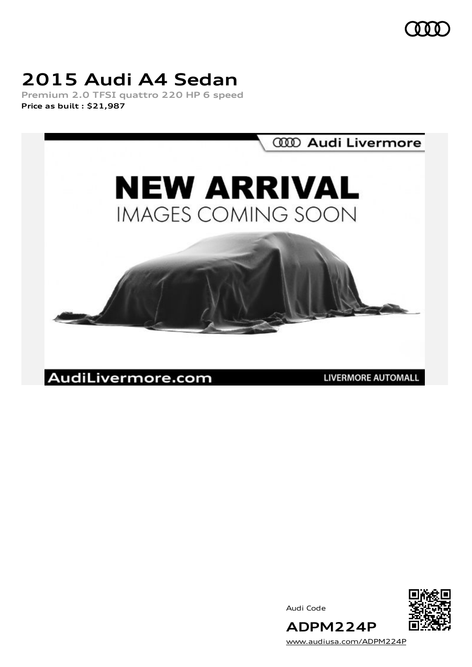$000$ 

## **2015 Audi A4 Sedan**

**Premium 2.0 TFSI quattro 220 HP 6 speed Price as built [:](#page-9-0) \$21,987**



Audi Code



[www.audiusa.com/ADPM224P](https://www.audiusa.com/ADPM224P)

**ADPM224P**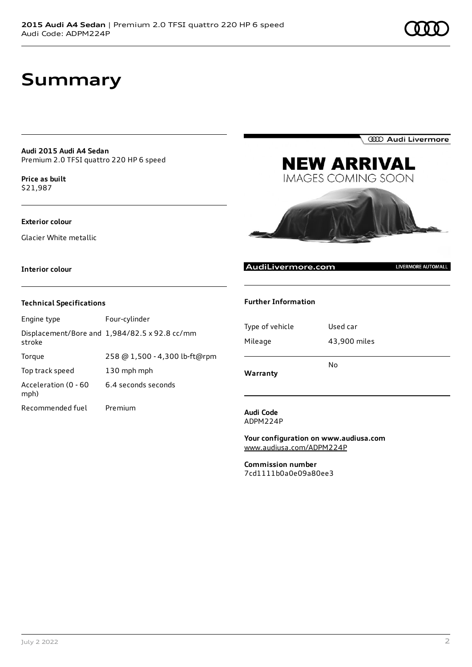### **Summary**

**Audi 2015 Audi A4 Sedan** Premium 2.0 TFSI quattro 220 HP 6 speed

**Price as buil[t](#page-9-0)** \$21,987

#### **Exterior colour**

Glacier White metallic

**Interior colour**

#### **Technical Specifications**

| Engine type                  | Four-cylinder                                 |
|------------------------------|-----------------------------------------------|
| stroke                       | Displacement/Bore and 1,984/82.5 x 92.8 cc/mm |
| Torque                       | 258 @ 1,500 - 4,300 lb-ft@rpm                 |
| Top track speed              | 130 mph mph                                   |
| Acceleration (0 - 60<br>mph) | 6.4 seconds seconds                           |
| Recommended fuel             | Premium                                       |

**Further Information**

| Type of vehicle | Used car     |
|-----------------|--------------|
| Mileage         | 43,900 miles |
|                 |              |
|                 | No           |
| Warranty        |              |

**NEW ARRIVAL IMAGES COMING SOON** 

#### **Audi Code** ADPM224P

**Your configuration on www.audiusa.com** [www.audiusa.com/ADPM224P](https://www.audiusa.com/ADPM224P)

**Commission number** 7cd1111b0a0e09a80ee3

AudiLivermore.com





LIVERMORE AUTOMALL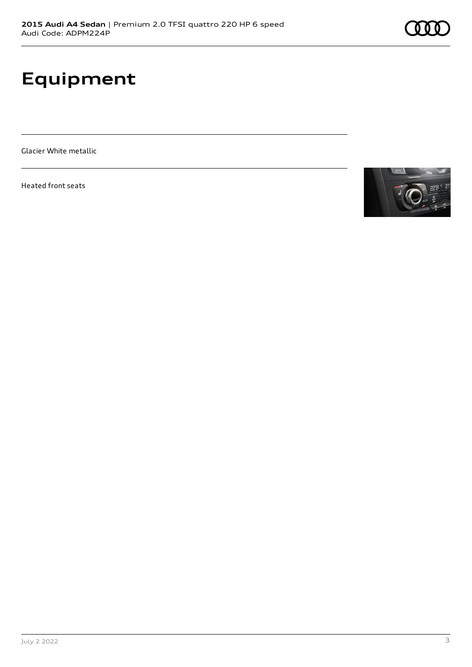# **Equipment**

Glacier White metallic

Heated front seats

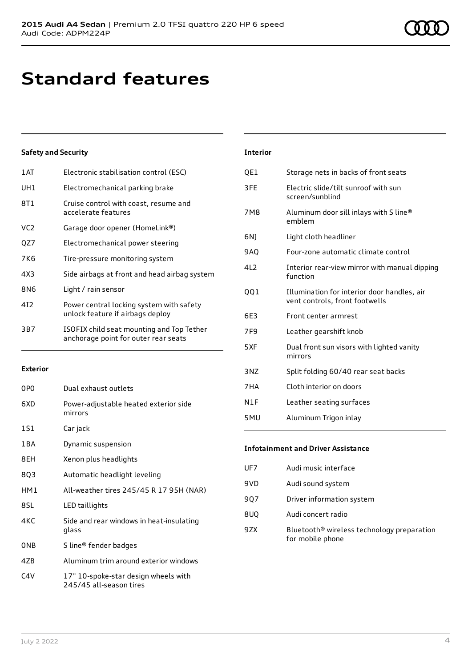### **Standard features**

#### **Safety and Security**

| 1 AT | Electronic stabilisation control (ESC)                                            |
|------|-----------------------------------------------------------------------------------|
| UH1  | Electromechanical parking brake                                                   |
| 8T1  | Cruise control with coast, resume and<br>accelerate features                      |
| VC2  | Garage door opener (HomeLink®)                                                    |
| QZ7  | Electromechanical power steering                                                  |
| 7K6  | Tire-pressure monitoring system                                                   |
| 4X3  | Side airbags at front and head airbag system                                      |
| 8N6  | Light / rain sensor                                                               |
| 412  | Power central locking system with safety<br>unlock feature if airbags deploy      |
| 3B7  | ISOFIX child seat mounting and Top Tether<br>anchorage point for outer rear seats |
|      |                                                                                   |

#### **Exterior**

| 0PO              | Dual exhaust outlets                                            |
|------------------|-----------------------------------------------------------------|
| 6XD              | Power-adjustable heated exterior side<br>mirrors                |
| 1S1              | Car jack                                                        |
| 1 B A            | Dynamic suspension                                              |
| 8EH              | Xenon plus headlights                                           |
| 8Q3              | Automatic headlight leveling                                    |
| HM1              | All-weather tires 245/45 R 17 95H (NAR)                         |
| 8SL              | LED taillights                                                  |
| 4KC              | Side and rear windows in heat-insulating<br>glass               |
| 0 <sub>NB</sub>  | S line® fender badges                                           |
| 47B              | Aluminum trim around exterior windows                           |
| C <sub>4</sub> V | 17" 10-spoke-star design wheels with<br>245/45 all-season tires |

| <b>Interior</b> |                                                                               |
|-----------------|-------------------------------------------------------------------------------|
| QE1             | Storage nets in backs of front seats                                          |
| 3FF             | Electric slide/tilt sunroof with sun<br>screen/sunblind                       |
| <b>7M8</b>      | Aluminum door sill inlays with S line®<br>emblem                              |
| 6N)             | Light cloth headliner                                                         |
| 9AQ             | Four-zone automatic climate control                                           |
| 4L2             | Interior rear-view mirror with manual dipping<br>function                     |
| 001             | Illumination for interior door handles, air<br>vent controls, front footwells |
| 6E3             | Front center armrest                                                          |
| 7F9             | Leather gearshift knob                                                        |
| 5XF             | Dual front sun visors with lighted vanity<br>mirrors                          |
| 3NZ             | Split folding 60/40 rear seat backs                                           |
| 7HA             | Cloth interior on doors                                                       |
| N1F             | Leather seating surfaces                                                      |
| 5MU             | Aluminum Trigon inlay                                                         |
|                 |                                                                               |

| <b>Infotainment and Driver Assistance</b> |                                                                            |  |
|-------------------------------------------|----------------------------------------------------------------------------|--|
| UF7                                       | Audi music interface                                                       |  |
| 9VD                                       | Audi sound system                                                          |  |
| 907                                       | Driver information system                                                  |  |
| 8UQ                                       | Audi concert radio                                                         |  |
| 97X                                       | Bluetooth <sup>®</sup> wireless technology preparation<br>for mobile phone |  |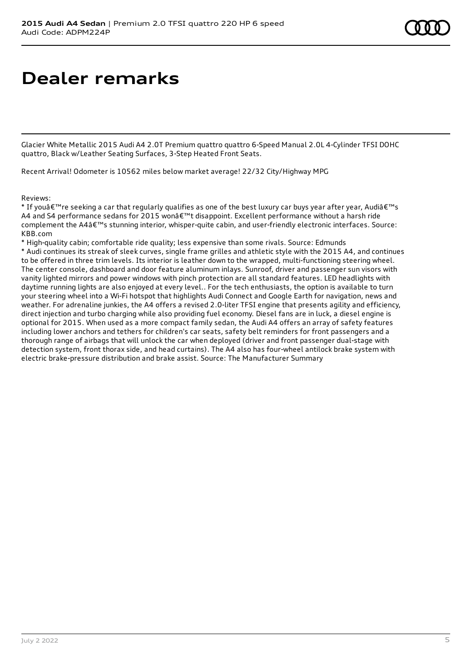# **Dealer remarks**

Glacier White Metallic 2015 Audi A4 2.0T Premium quattro quattro 6-Speed Manual 2.0L 4-Cylinder TFSI DOHC quattro, Black w/Leather Seating Surfaces, 3-Step Heated Front Seats.

Recent Arrival! Odometer is 10562 miles below market average! 22/32 City/Highway MPG

Reviews:

\* If youâ $\epsilon$ <sup>m</sup> re seeking a car that regularly qualifies as one of the best luxury car buys year after year, Audiâ $\epsilon$ <sup>m</sup>s A4 and S4 performance sedans for 2015 won't disappoint. Excellent performance without a harsh ride complement the A4's stunning interior, whisper-quite cabin, and user-friendly electronic interfaces. Source: KBB.com

\* High-quality cabin; comfortable ride quality; less expensive than some rivals. Source: Edmunds

\* Audi continues its streak of sleek curves, single frame grilles and athletic style with the 2015 A4, and continues to be offered in three trim levels. Its interior is leather down to the wrapped, multi-functioning steering wheel. The center console, dashboard and door feature aluminum inlays. Sunroof, driver and passenger sun visors with vanity lighted mirrors and power windows with pinch protection are all standard features. LED headlights with daytime running lights are also enjoyed at every level.. For the tech enthusiasts, the option is available to turn your steering wheel into a Wi-Fi hotspot that highlights Audi Connect and Google Earth for navigation, news and weather. For adrenaline junkies, the A4 offers a revised 2.0-liter TFSI engine that presents agility and efficiency, direct injection and turbo charging while also providing fuel economy. Diesel fans are in luck, a diesel engine is optional for 2015. When used as a more compact family sedan, the Audi A4 offers an array of safety features including lower anchors and tethers for children's car seats, safety belt reminders for front passengers and a thorough range of airbags that will unlock the car when deployed (driver and front passenger dual-stage with detection system, front thorax side, and head curtains). The A4 also has four-wheel antilock brake system with electric brake-pressure distribution and brake assist. Source: The Manufacturer Summary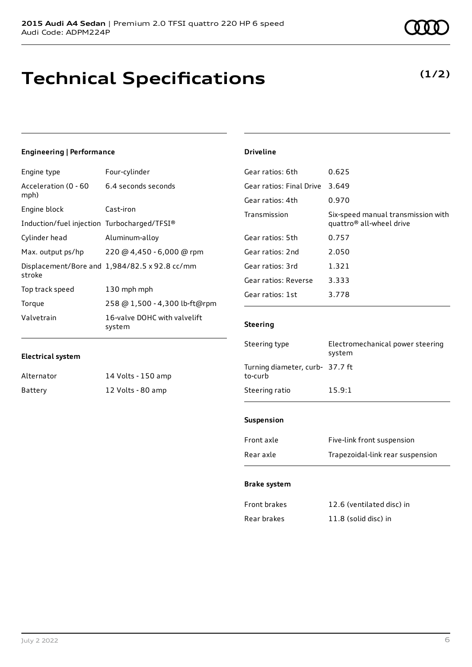### **Technical Specifications**

### **(1/2)**

### **Engineering | Performance**

| Engine type                                 | Four-cylinder                                 |
|---------------------------------------------|-----------------------------------------------|
| Acceleration (0 - 60<br>mph)                | 6.4 seconds seconds                           |
| Engine block                                | Cast-iron                                     |
| Induction/fuel injection Turbocharged/TFSI® |                                               |
| Cylinder head                               | Aluminum-alloy                                |
| Max. output ps/hp                           | 220 @ 4,450 - 6,000 @ rpm                     |
| stroke                                      | Displacement/Bore and 1,984/82.5 x 92.8 cc/mm |
| Top track speed                             | 130 mph mph                                   |
| Torque                                      | 258 @ 1,500 - 4,300 lb-ft@rpm                 |
| Valvetrain                                  | 16-valve DOHC with valvelift<br>system        |

#### **Driveline**

| Gear ratios: 6th         | 0.625                                                                      |
|--------------------------|----------------------------------------------------------------------------|
| Gear ratios: Final Drive | 3.649                                                                      |
| Gear ratios: 4th         | 0.970                                                                      |
| Transmission             | Six-speed manual transmission with<br>quattro <sup>®</sup> all-wheel drive |
| Gear ratios: 5th         | 0.757                                                                      |
| Gear ratios: 2nd         | 2.050                                                                      |
| Gear ratios: 3rd         | 1.321                                                                      |
| Gear ratios: Reverse     | 3.333                                                                      |
| Gear ratios: 1st         | 3.778                                                                      |

#### **Steering**

| Steering type                              | Electromechanical power steering<br>system |
|--------------------------------------------|--------------------------------------------|
| Turning diameter, curb- 37.7 ft<br>to-curb |                                            |
| Steering ratio                             | 15.9:1                                     |

#### **Suspension**

| Front axle | Five-link front suspension       |
|------------|----------------------------------|
| Rear axle  | Trapezoidal-link rear suspension |

#### **Brake system**

| Front brakes | 12.6 (ventilated disc) in |
|--------------|---------------------------|
| Rear brakes  | 11.8 (solid disc) in      |

Alternator 14 Volts - 150 amp Battery 12 Volts - 80 amp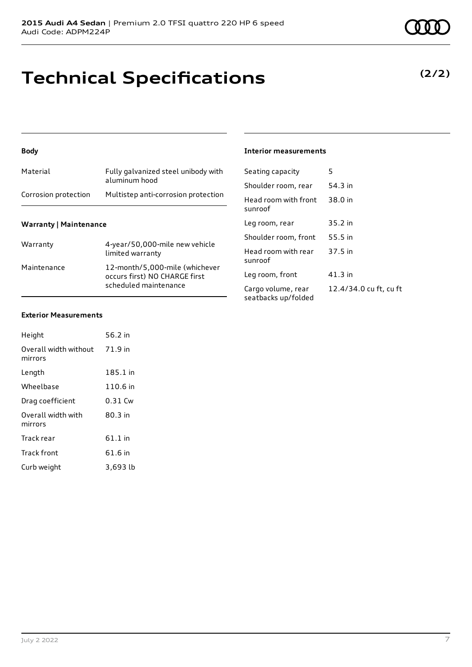# **Technical Specifications**

**Body**

### **Warranty | Maintenance**

| Warranty    | 4-year/50,000-mile new vehicle<br>limited warranty                                       |
|-------------|------------------------------------------------------------------------------------------|
| Maintenance | 12-month/5,000-mile (whichever<br>occurs first) NO CHARGE first<br>scheduled maintenance |

Material Fully galvanized steel unibody with aluminum hood

Corrosion protection Multistep anti-corrosion protection

### **Interior measurements**

| Seating capacity                          | 5                      |
|-------------------------------------------|------------------------|
| Shoulder room, rear                       | 54.3 in                |
| Head room with front<br>sunroof           | 38.0 in                |
| Leg room, rear                            | $35.2$ in              |
| Shoulder room, front                      | 55.5 in                |
| Head room with rear<br>sunroof            | 37.5 in                |
| Leg room, front                           | 41.3 in                |
| Cargo volume, rear<br>seatbacks up/folded | 12.4/34.0 cu ft, cu ft |

#### **Exterior Measurements**

| Height                           | 56.2 in   |
|----------------------------------|-----------|
| Overall width without<br>mirrors | 71.9 in   |
| Length                           | 185.1 in  |
| Wheelbase                        | 110.6 in  |
| Drag coefficient                 | $0.31$ Cw |
| Overall width with<br>mirrors    | 80.3 in   |
| Track rear                       | $61.1$ in |
| <b>Track front</b>               | 61.6 in   |
| Curb weight                      | 3.693 lb  |

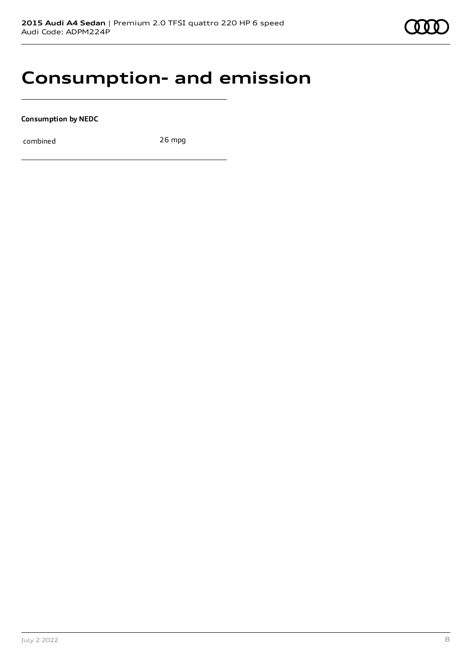### **Consumption- and emission**

**Consumption by NEDC**

combined 26 mpg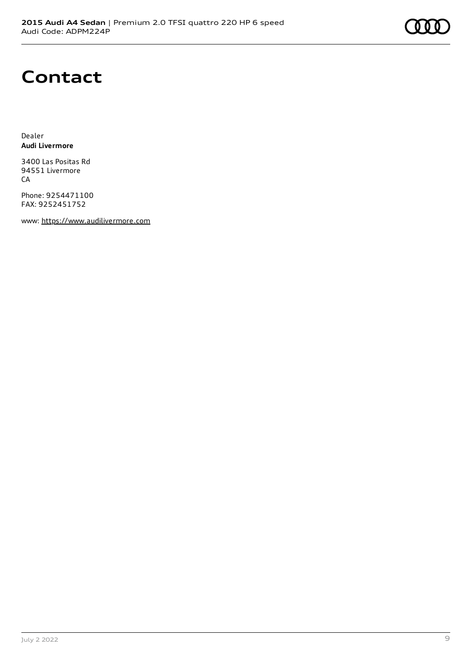

### **Contact**

Dealer **Audi Livermore**

3400 Las Positas Rd 94551 Livermore CA

Phone: 9254471100 FAX: 9252451752

www: [https://www.audilivermore.com](https://www.audilivermore.com/)